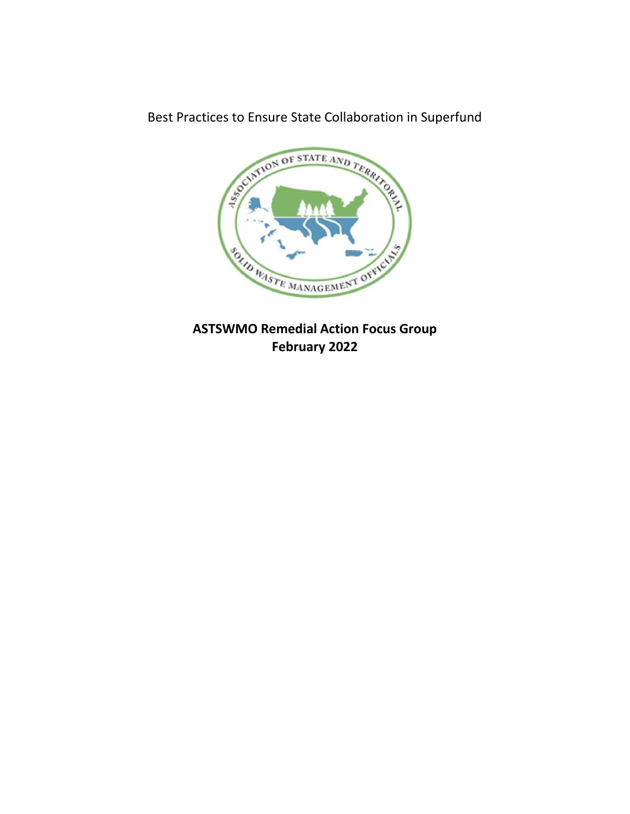Best Practices to Ensure State Collaboration in Superfund



**ASTSWMO Remedial Action Focus Group February 2022**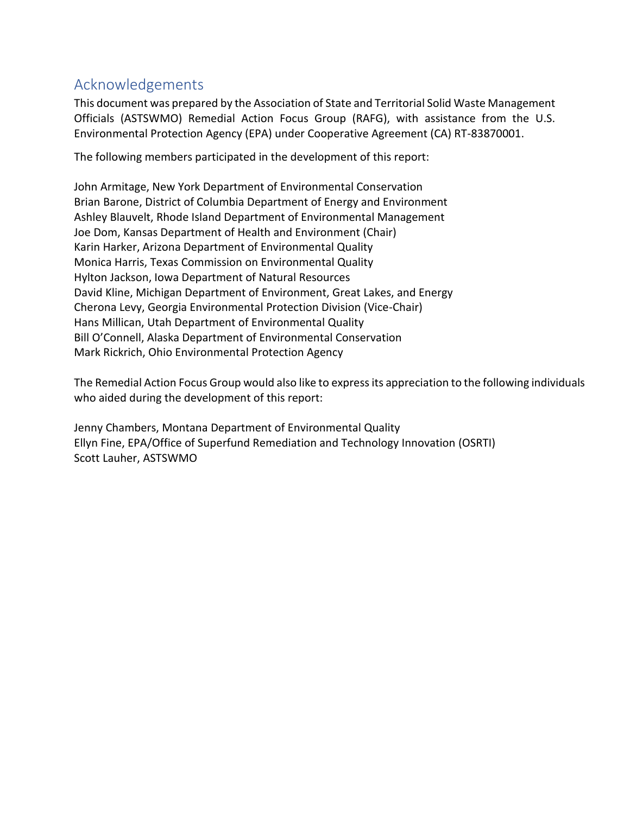# Acknowledgements

This document was prepared by the Association of State and Territorial Solid Waste Management Officials (ASTSWMO) Remedial Action Focus Group (RAFG), with assistance from the U.S. Environmental Protection Agency (EPA) under Cooperative Agreement (CA) RT-83870001.

The following members participated in the development of this report:

John Armitage, New York Department of Environmental Conservation Brian Barone, District of Columbia Department of Energy and Environment Ashley Blauvelt, Rhode Island Department of Environmental Management Joe Dom, Kansas Department of Health and Environment (Chair) Karin Harker, Arizona Department of Environmental Quality Monica Harris, Texas Commission on Environmental Quality Hylton Jackson, Iowa Department of Natural Resources David Kline, Michigan Department of Environment, Great Lakes, and Energy Cherona Levy, Georgia Environmental Protection Division (Vice-Chair) Hans Millican, Utah Department of Environmental Quality Bill O'Connell, Alaska Department of Environmental Conservation Mark Rickrich, Ohio Environmental Protection Agency

The Remedial Action Focus Group would also like to express its appreciation to the following individuals who aided during the development of this report:

Jenny Chambers, Montana Department of Environmental Quality Ellyn Fine, EPA/Office of Superfund Remediation and Technology Innovation (OSRTI) Scott Lauher, ASTSWMO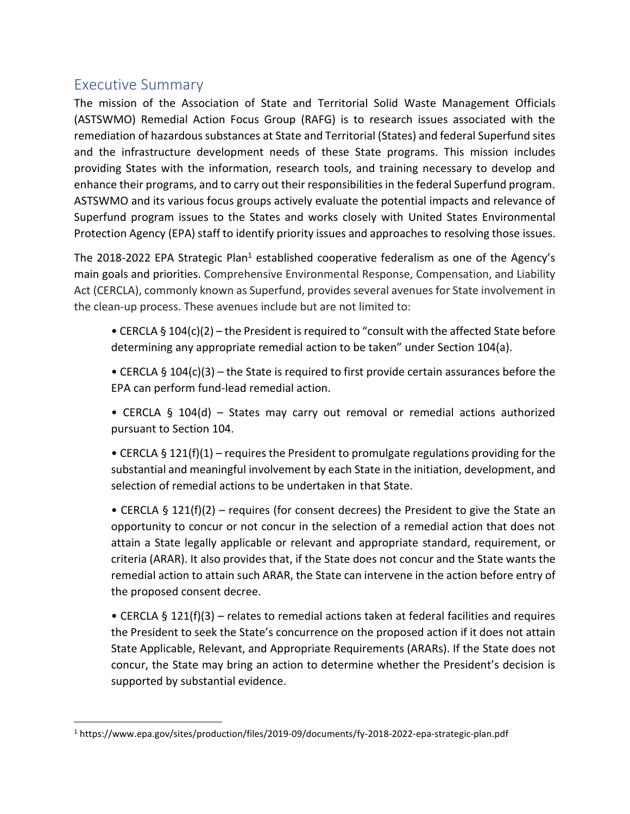## Executive Summary

The mission of the Association of State and Territorial Solid Waste Management Officials (ASTSWMO) Remedial Action Focus Group (RAFG) is to research issues associated with the remediation of hazardous substances at State and Territorial (States) and federal Superfund sites and the infrastructure development needs of these State programs. This mission includes providing States with the information, research tools, and training necessary to develop and enhance their programs, and to carry out their responsibilities in the federal Superfund program. ASTSWMO and its various focus groups actively evaluate the potential impacts and relevance of Superfund program issues to the States and works closely with United States Environmental Protection Agency (EPA) staff to identify priority issues and approaches to resolving those issues.

The 2018-2022 EPA Strategic Plan<sup>1</sup> established cooperative federalism as one of the Agency's main goals and priorities. Comprehensive Environmental Response, Compensation, and Liability Act (CERCLA), commonly known as Superfund, provides several avenues for State involvement in the clean-up process. These avenues include but are not limited to:

- CERCLA § 104(c)(2) the President is required to "consult with the affected State before determining any appropriate remedial action to be taken" under Section 104(a).
- CERCLA § 104(c)(3) the State is required to first provide certain assurances before the EPA can perform fund-lead remedial action.

• CERCLA § 104(d) – States may carry out removal or remedial actions authorized pursuant to Section 104.

• CERCLA § 121(f)(1) – requires the President to promulgate regulations providing for the substantial and meaningful involvement by each State in the initiation, development, and selection of remedial actions to be undertaken in that State.

• CERCLA § 121(f)(2) – requires (for consent decrees) the President to give the State an opportunity to concur or not concur in the selection of a remedial action that does not attain a State legally applicable or relevant and appropriate standard, requirement, or criteria (ARAR). It also provides that, if the State does not concur and the State wants the remedial action to attain such ARAR, the State can intervene in the action before entry of the proposed consent decree.

• CERCLA § 121(f)(3) – relates to remedial actions taken at federal facilities and requires the President to seek the State's concurrence on the proposed action if it does not attain State Applicable, Relevant, and Appropriate Requirements (ARARs). If the State does not concur, the State may bring an action to determine whether the President's decision is supported by substantial evidence.

<sup>1</sup> https://www.epa.gov/sites/production/files/2019-09/documents/fy-2018-2022-epa-strategic-plan.pdf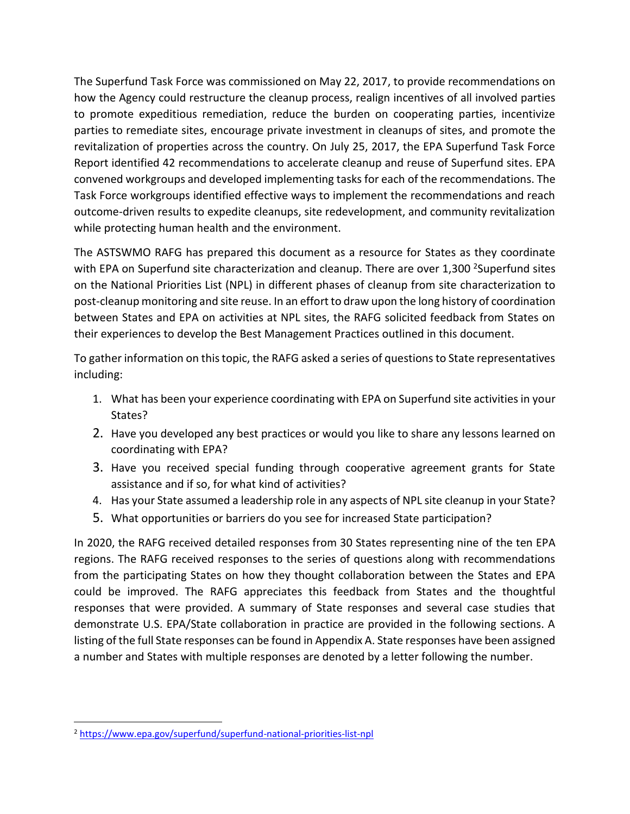The Superfund Task Force was commissioned on May 22, 2017, to provide recommendations on how the Agency could restructure the cleanup process, realign incentives of all involved parties to promote expeditious remediation, reduce the burden on cooperating parties, incentivize parties to remediate sites, encourage private investment in cleanups of sites, and promote the revitalization of properties across the country. On July 25, 2017, the EPA Superfund Task Force Report identified 42 recommendations to accelerate cleanup and reuse of Superfund sites. EPA convened workgroups and developed implementing tasks for each of the recommendations. The Task Force workgroups identified effective ways to implement the recommendations and reach outcome-driven results to expedite cleanups, site redevelopment, and community revitalization while protecting human health and the environment.

The ASTSWMO RAFG has prepared this document as a resource for States as they coordinate with EPA on Superfund site characterization and cleanup. There are over 1,300 <sup>2</sup>Superfund sites on the National Priorities List (NPL) in different phases of cleanup from site characterization to post-cleanup monitoring and site reuse. In an effort to draw upon the long history of coordination between States and EPA on activities at NPL sites, the RAFG solicited feedback from States on their experiences to develop the Best Management Practices outlined in this document.

To gather information on this topic, the RAFG asked a series of questions to State representatives including:

- 1. What has been your experience coordinating with EPA on Superfund site activities in your States?
- 2. Have you developed any best practices or would you like to share any lessons learned on coordinating with EPA?
- 3. Have you received special funding through cooperative agreement grants for State assistance and if so, for what kind of activities?
- 4. Has your State assumed a leadership role in any aspects of NPL site cleanup in your State?
- 5. What opportunities or barriers do you see for increased State participation?

In 2020, the RAFG received detailed responses from 30 States representing nine of the ten EPA regions. The RAFG received responses to the series of questions along with recommendations from the participating States on how they thought collaboration between the States and EPA could be improved. The RAFG appreciates this feedback from States and the thoughtful responses that were provided. A summary of State responses and several case studies that demonstrate U.S. EPA/State collaboration in practice are provided in the following sections. A listing of the full State responses can be found in Appendix A. State responses have been assigned a number and States with multiple responses are denoted by a letter following the number.

<sup>2</sup> <https://www.epa.gov/superfund/superfund-national-priorities-list-npl>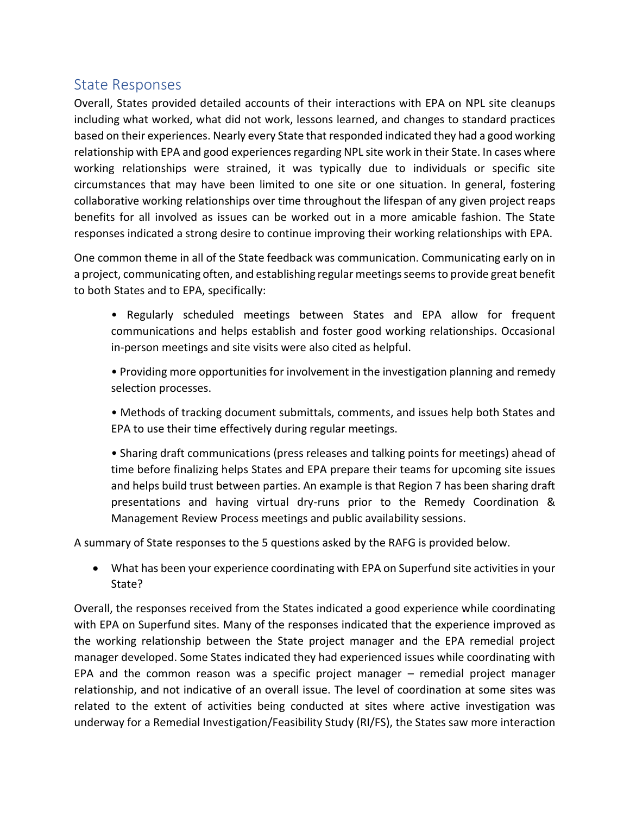## State Responses

Overall, States provided detailed accounts of their interactions with EPA on NPL site cleanups including what worked, what did not work, lessons learned, and changes to standard practices based on their experiences. Nearly every State that responded indicated they had a good working relationship with EPA and good experiences regarding NPL site work in their State. In cases where working relationships were strained, it was typically due to individuals or specific site circumstances that may have been limited to one site or one situation. In general, fostering collaborative working relationships over time throughout the lifespan of any given project reaps benefits for all involved as issues can be worked out in a more amicable fashion. The State responses indicated a strong desire to continue improving their working relationships with EPA.

One common theme in all of the State feedback was communication. Communicating early on in a project, communicating often, and establishing regular meetings seems to provide great benefit to both States and to EPA, specifically:

• Regularly scheduled meetings between States and EPA allow for frequent communications and helps establish and foster good working relationships. Occasional in-person meetings and site visits were also cited as helpful.

• Providing more opportunities for involvement in the investigation planning and remedy selection processes.

• Methods of tracking document submittals, comments, and issues help both States and EPA to use their time effectively during regular meetings.

• Sharing draft communications (press releases and talking points for meetings) ahead of time before finalizing helps States and EPA prepare their teams for upcoming site issues and helps build trust between parties. An example is that Region 7 has been sharing draft presentations and having virtual dry-runs prior to the Remedy Coordination & Management Review Process meetings and public availability sessions.

A summary of State responses to the 5 questions asked by the RAFG is provided below.

• What has been your experience coordinating with EPA on Superfund site activities in your State?

Overall, the responses received from the States indicated a good experience while coordinating with EPA on Superfund sites. Many of the responses indicated that the experience improved as the working relationship between the State project manager and the EPA remedial project manager developed. Some States indicated they had experienced issues while coordinating with EPA and the common reason was a specific project manager – remedial project manager relationship, and not indicative of an overall issue. The level of coordination at some sites was related to the extent of activities being conducted at sites where active investigation was underway for a Remedial Investigation/Feasibility Study (RI/FS), the States saw more interaction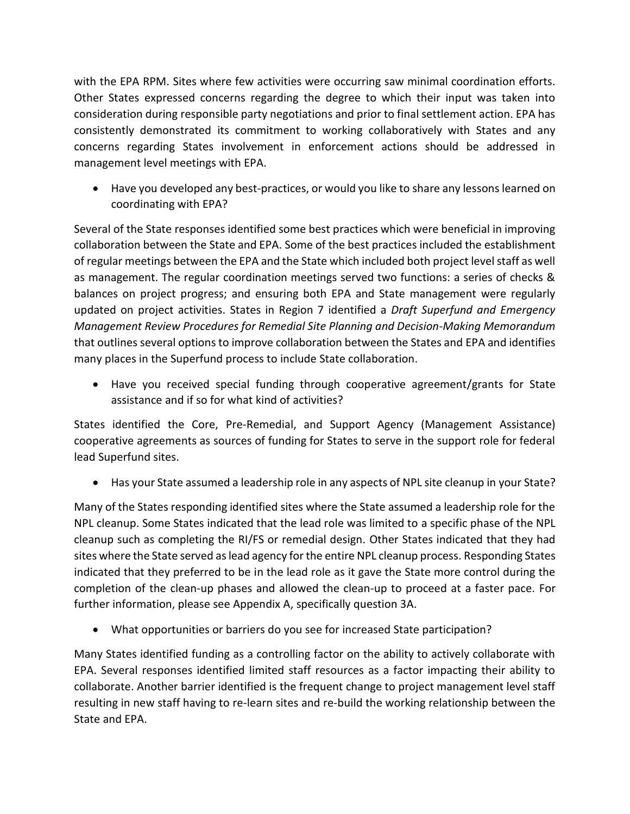with the EPA RPM. Sites where few activities were occurring saw minimal coordination efforts. Other States expressed concerns regarding the degree to which their input was taken into consideration during responsible party negotiations and prior to final settlement action. EPA has consistently demonstrated its commitment to working collaboratively with States and any concerns regarding States involvement in enforcement actions should be addressed in management level meetings with EPA.

• Have you developed any best-practices, or would you like to share any lessons learned on coordinating with EPA?

Several of the State responses identified some best practices which were beneficial in improving collaboration between the State and EPA. Some of the best practices included the establishment of regular meetings between the EPA and the State which included both project level staff as well as management. The regular coordination meetings served two functions: a series of checks & balances on project progress; and ensuring both EPA and State management were regularly updated on project activities. States in Region 7 identified a *Draft Superfund and Emergency Management Review Procedures for Remedial Site Planning and Decision-Making Memorandum* that outlines several options to improve collaboration between the States and EPA and identifies many places in the Superfund process to include State collaboration.

• Have you received special funding through cooperative agreement/grants for State assistance and if so for what kind of activities?

States identified the Core, Pre-Remedial, and Support Agency (Management Assistance) cooperative agreements as sources of funding for States to serve in the support role for federal lead Superfund sites.

• Has your State assumed a leadership role in any aspects of NPL site cleanup in your State?

Many of the States responding identified sites where the State assumed a leadership role for the NPL cleanup. Some States indicated that the lead role was limited to a specific phase of the NPL cleanup such as completing the RI/FS or remedial design. Other States indicated that they had sites where the State served as lead agency for the entire NPL cleanup process. Responding States indicated that they preferred to be in the lead role as it gave the State more control during the completion of the clean-up phases and allowed the clean-up to proceed at a faster pace. For further information, please see Appendix A, specifically question 3A.

• What opportunities or barriers do you see for increased State participation?

Many States identified funding as a controlling factor on the ability to actively collaborate with EPA. Several responses identified limited staff resources as a factor impacting their ability to collaborate. Another barrier identified is the frequent change to project management level staff resulting in new staff having to re-learn sites and re-build the working relationship between the State and EPA.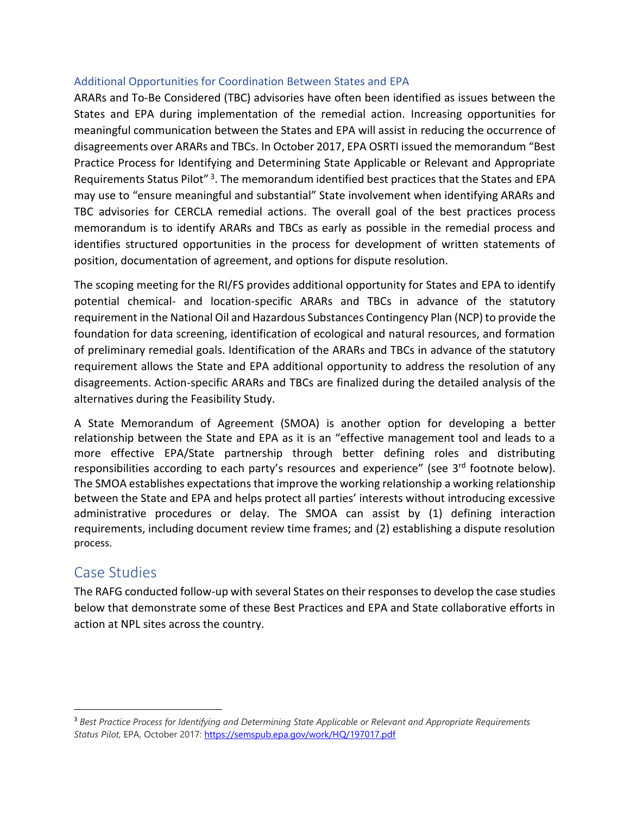#### Additional Opportunities for Coordination Between States and EPA

ARARs and To-Be Considered (TBC) advisories have often been identified as issues between the States and EPA during implementation of the remedial action. Increasing opportunities for meaningful communication between the States and EPA will assist in reducing the occurrence of disagreements over ARARs and TBCs. In October 2017, EPA OSRTI issued the memorandum "Best Practice Process for Identifying and Determining State Applicable or Relevant and Appropriate Requirements Status Pilot"<sup>3</sup>. The memorandum identified best practices that the States and EPA may use to "ensure meaningful and substantial" State involvement when identifying ARARs and TBC advisories for CERCLA remedial actions. The overall goal of the best practices process memorandum is to identify ARARs and TBCs as early as possible in the remedial process and identifies structured opportunities in the process for development of written statements of position, documentation of agreement, and options for dispute resolution.

The scoping meeting for the RI/FS provides additional opportunity for States and EPA to identify potential chemical- and location-specific ARARs and TBCs in advance of the statutory requirement in the National Oil and Hazardous Substances Contingency Plan (NCP) to provide the foundation for data screening, identification of ecological and natural resources, and formation of preliminary remedial goals. Identification of the ARARs and TBCs in advance of the statutory requirement allows the State and EPA additional opportunity to address the resolution of any disagreements. Action-specific ARARs and TBCs are finalized during the detailed analysis of the alternatives during the Feasibility Study.

A State Memorandum of Agreement (SMOA) is another option for developing a better relationship between the State and EPA as it is an "effective management tool and leads to a more effective EPA/State partnership through better defining roles and distributing responsibilities according to each party's resources and experience" (see 3<sup>rd</sup> footnote below). The SMOA establishes expectations that improve the working relationship a working relationship between the State and EPA and helps protect all parties' interests without introducing excessive administrative procedures or delay. The SMOA can assist by (1) defining interaction requirements, including document review time frames; and (2) establishing a dispute resolution process.

## Case Studies

The RAFG conducted follow-up with several States on their responses to develop the case studies below that demonstrate some of these Best Practices and EPA and State collaborative efforts in action at NPL sites across the country.

<sup>3</sup> *Best Practice Process for Identifying and Determining State Applicable or Relevant and Appropriate Requirements Status Pilot,* EPA, October 2017[: https://semspub.epa.gov/work/HQ/197017.pdf](https://semspub.epa.gov/work/HQ/197017.pdf)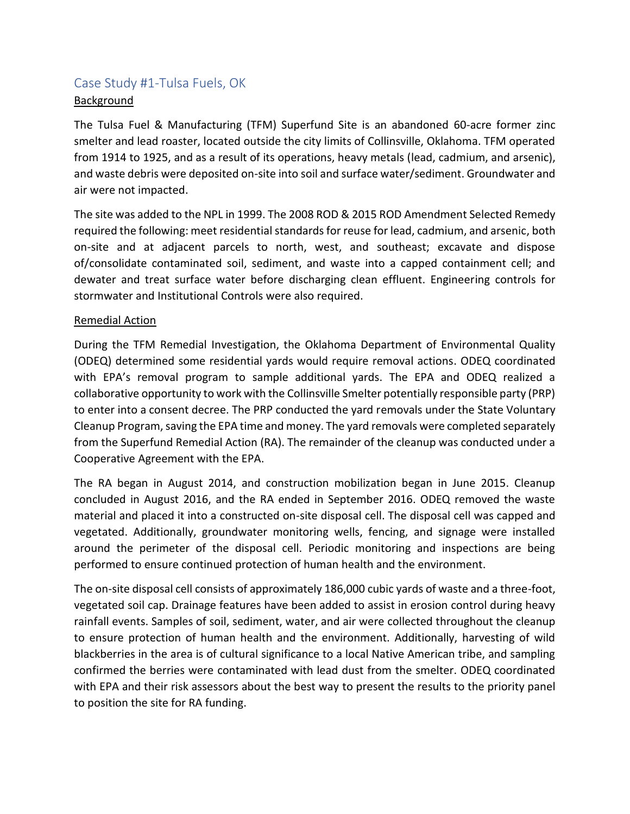# Case Study #1-Tulsa Fuels, OK

#### **Background**

The Tulsa Fuel & Manufacturing (TFM) Superfund Site is an abandoned 60-acre former zinc smelter and lead roaster, located outside the city limits of Collinsville, Oklahoma. TFM operated from 1914 to 1925, and as a result of its operations, heavy metals (lead, cadmium, and arsenic), and waste debris were deposited on-site into soil and surface water/sediment. Groundwater and air were not impacted.

The site was added to the NPL in 1999. The 2008 ROD & 2015 ROD Amendment Selected Remedy required the following: meet residential standards for reuse for lead, cadmium, and arsenic, both on-site and at adjacent parcels to north, west, and southeast; excavate and dispose of/consolidate contaminated soil, sediment, and waste into a capped containment cell; and dewater and treat surface water before discharging clean effluent. Engineering controls for stormwater and Institutional Controls were also required.

#### Remedial Action

During the TFM Remedial Investigation, the Oklahoma Department of Environmental Quality (ODEQ) determined some residential yards would require removal actions. ODEQ coordinated with EPA's removal program to sample additional yards. The EPA and ODEQ realized a collaborative opportunity to work with the Collinsville Smelter potentially responsible party (PRP) to enter into a consent decree. The PRP conducted the yard removals under the State Voluntary Cleanup Program, saving the EPA time and money. The yard removals were completed separately from the Superfund Remedial Action (RA). The remainder of the cleanup was conducted under a Cooperative Agreement with the EPA.

The RA began in August 2014, and construction mobilization began in June 2015. Cleanup concluded in August 2016, and the RA ended in September 2016. ODEQ removed the waste material and placed it into a constructed on-site disposal cell. The disposal cell was capped and vegetated. Additionally, groundwater monitoring wells, fencing, and signage were installed around the perimeter of the disposal cell. Periodic monitoring and inspections are being performed to ensure continued protection of human health and the environment.

The on-site disposal cell consists of approximately 186,000 cubic yards of waste and a three-foot, vegetated soil cap. Drainage features have been added to assist in erosion control during heavy rainfall events. Samples of soil, sediment, water, and air were collected throughout the cleanup to ensure protection of human health and the environment. Additionally, harvesting of wild blackberries in the area is of cultural significance to a local Native American tribe, and sampling confirmed the berries were contaminated with lead dust from the smelter. ODEQ coordinated with EPA and their risk assessors about the best way to present the results to the priority panel to position the site for RA funding.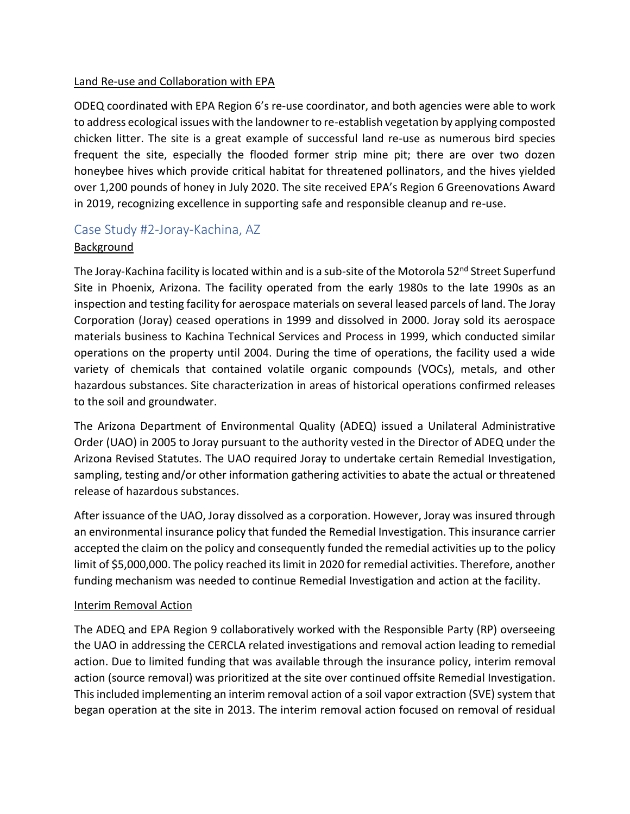#### Land Re-use and Collaboration with EPA

ODEQ coordinated with EPA Region 6's re-use coordinator, and both agencies were able to work to address ecological issues with the landowner to re-establish vegetation by applying composted chicken litter. The site is a great example of successful land re-use as numerous bird species frequent the site, especially the flooded former strip mine pit; there are over two dozen honeybee hives which provide critical habitat for threatened pollinators, and the hives yielded over 1,200 pounds of honey in July 2020. The site received EPA's Region 6 Greenovations Award in 2019, recognizing excellence in supporting safe and responsible cleanup and re-use.

### Case Study #2-Joray-Kachina, AZ

#### Background

The Joray-Kachina facility is located within and is a sub-site of the Motorola 52<sup>nd</sup> Street Superfund Site in Phoenix, Arizona. The facility operated from the early 1980s to the late 1990s as an inspection and testing facility for aerospace materials on several leased parcels of land. The Joray Corporation (Joray) ceased operations in 1999 and dissolved in 2000. Joray sold its aerospace materials business to Kachina Technical Services and Process in 1999, which conducted similar operations on the property until 2004. During the time of operations, the facility used a wide variety of chemicals that contained volatile organic compounds (VOCs), metals, and other hazardous substances. Site characterization in areas of historical operations confirmed releases to the soil and groundwater.

The Arizona Department of Environmental Quality (ADEQ) issued a Unilateral Administrative Order (UAO) in 2005 to Joray pursuant to the authority vested in the Director of ADEQ under the Arizona Revised Statutes. The UAO required Joray to undertake certain Remedial Investigation, sampling, testing and/or other information gathering activities to abate the actual or threatened release of hazardous substances.

After issuance of the UAO, Joray dissolved as a corporation. However, Joray was insured through an environmental insurance policy that funded the Remedial Investigation. This insurance carrier accepted the claim on the policy and consequently funded the remedial activities up to the policy limit of \$5,000,000. The policy reached its limit in 2020 for remedial activities. Therefore, another funding mechanism was needed to continue Remedial Investigation and action at the facility.

#### Interim Removal Action

The ADEQ and EPA Region 9 collaboratively worked with the Responsible Party (RP) overseeing the UAO in addressing the CERCLA related investigations and removal action leading to remedial action. Due to limited funding that was available through the insurance policy, interim removal action (source removal) was prioritized at the site over continued offsite Remedial Investigation. This included implementing an interim removal action of a soil vapor extraction (SVE) system that began operation at the site in 2013. The interim removal action focused on removal of residual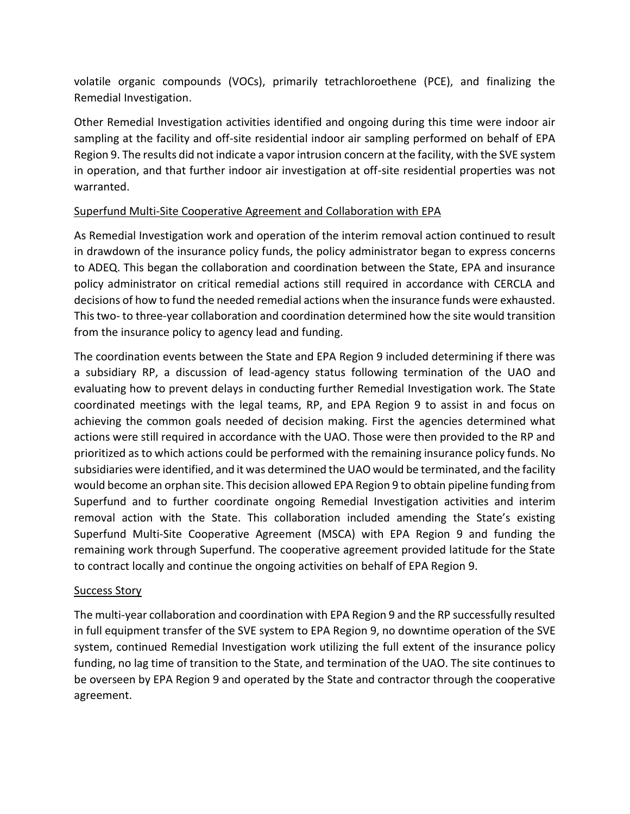volatile organic compounds (VOCs), primarily tetrachloroethene (PCE), and finalizing the Remedial Investigation.

Other Remedial Investigation activities identified and ongoing during this time were indoor air sampling at the facility and off-site residential indoor air sampling performed on behalf of EPA Region 9. The results did not indicate a vapor intrusion concern at the facility, with the SVE system in operation, and that further indoor air investigation at off-site residential properties was not warranted.

#### Superfund Multi-Site Cooperative Agreement and Collaboration with EPA

As Remedial Investigation work and operation of the interim removal action continued to result in drawdown of the insurance policy funds, the policy administrator began to express concerns to ADEQ. This began the collaboration and coordination between the State, EPA and insurance policy administrator on critical remedial actions still required in accordance with CERCLA and decisions of how to fund the needed remedial actions when the insurance funds were exhausted. This two- to three-year collaboration and coordination determined how the site would transition from the insurance policy to agency lead and funding.

The coordination events between the State and EPA Region 9 included determining if there was a subsidiary RP, a discussion of lead-agency status following termination of the UAO and evaluating how to prevent delays in conducting further Remedial Investigation work. The State coordinated meetings with the legal teams, RP, and EPA Region 9 to assist in and focus on achieving the common goals needed of decision making. First the agencies determined what actions were still required in accordance with the UAO. Those were then provided to the RP and prioritized as to which actions could be performed with the remaining insurance policy funds. No subsidiaries were identified, and it was determined the UAO would be terminated, and the facility would become an orphan site. This decision allowed EPA Region 9 to obtain pipeline funding from Superfund and to further coordinate ongoing Remedial Investigation activities and interim removal action with the State. This collaboration included amending the State's existing Superfund Multi-Site Cooperative Agreement (MSCA) with EPA Region 9 and funding the remaining work through Superfund. The cooperative agreement provided latitude for the State to contract locally and continue the ongoing activities on behalf of EPA Region 9.

#### Success Story

The multi-year collaboration and coordination with EPA Region 9 and the RP successfully resulted in full equipment transfer of the SVE system to EPA Region 9, no downtime operation of the SVE system, continued Remedial Investigation work utilizing the full extent of the insurance policy funding, no lag time of transition to the State, and termination of the UAO. The site continues to be overseen by EPA Region 9 and operated by the State and contractor through the cooperative agreement.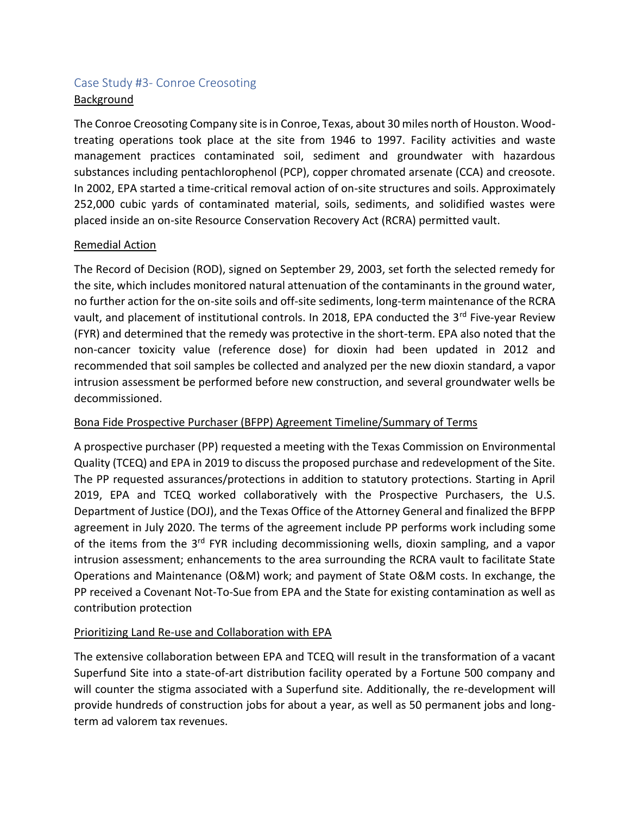## Case Study #3- Conroe Creosoting Background

The Conroe Creosoting Company site is in Conroe, Texas, about 30 miles north of Houston. Woodtreating operations took place at the site from 1946 to 1997. Facility activities and waste management practices contaminated soil, sediment and groundwater with hazardous substances including pentachlorophenol (PCP), copper chromated arsenate (CCA) and creosote. In 2002, EPA started a time-critical removal action of on-site structures and soils. Approximately 252,000 cubic yards of contaminated material, soils, sediments, and solidified wastes were placed inside an on-site Resource Conservation Recovery Act (RCRA) permitted vault.

#### Remedial Action

The Record of Decision (ROD), signed on September 29, 2003, set forth the selected remedy for the site, which includes monitored natural attenuation of the contaminants in the ground water, no further action for the on-site soils and off-site sediments, long-term maintenance of the RCRA vault, and placement of institutional controls. In 2018, EPA conducted the 3<sup>rd</sup> Five-year Review (FYR) and determined that the remedy was protective in the short-term. EPA also noted that the non-cancer toxicity value (reference dose) for dioxin had been updated in 2012 and recommended that soil samples be collected and analyzed per the new dioxin standard, a vapor intrusion assessment be performed before new construction, and several groundwater wells be decommissioned.

### Bona Fide Prospective Purchaser (BFPP) Agreement Timeline/Summary of Terms

A prospective purchaser (PP) requested a meeting with the Texas Commission on Environmental Quality (TCEQ) and EPA in 2019 to discuss the proposed purchase and redevelopment of the Site. The PP requested assurances/protections in addition to statutory protections. Starting in April 2019, EPA and TCEQ worked collaboratively with the Prospective Purchasers, the U.S. Department of Justice (DOJ), and the Texas Office of the Attorney General and finalized the BFPP agreement in July 2020. The terms of the agreement include PP performs work including some of the items from the 3<sup>rd</sup> FYR including decommissioning wells, dioxin sampling, and a vapor intrusion assessment; enhancements to the area surrounding the RCRA vault to facilitate State Operations and Maintenance (O&M) work; and payment of State O&M costs. In exchange, the PP received a Covenant Not-To-Sue from EPA and the State for existing contamination as well as contribution protection

### Prioritizing Land Re-use and Collaboration with EPA

The extensive collaboration between EPA and TCEQ will result in the transformation of a vacant Superfund Site into a state-of-art distribution facility operated by a Fortune 500 company and will counter the stigma associated with a Superfund site. Additionally, the re-development will provide hundreds of construction jobs for about a year, as well as 50 permanent jobs and longterm ad valorem tax revenues.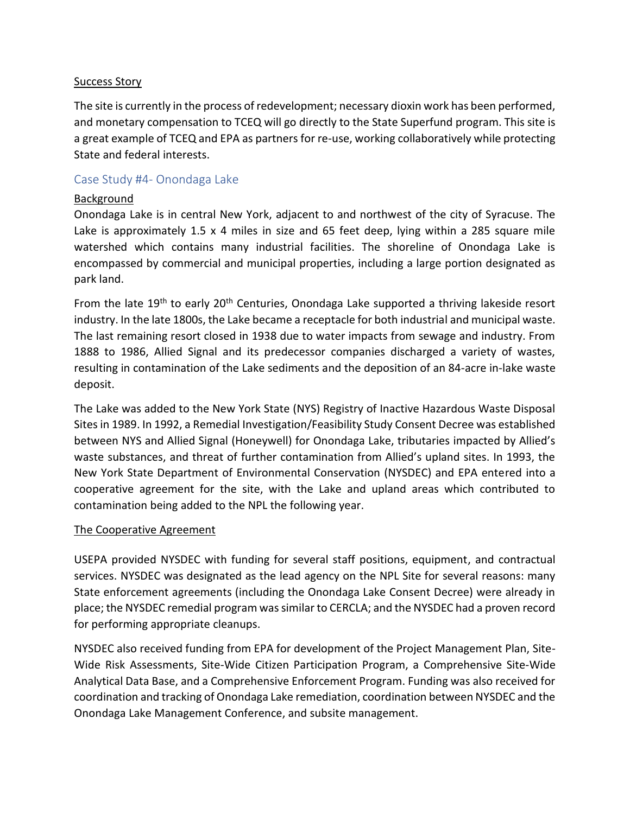#### Success Story

The site is currently in the process of redevelopment; necessary dioxin work has been performed, and monetary compensation to TCEQ will go directly to the State Superfund program. This site is a great example of TCEQ and EPA as partners for re-use, working collaboratively while protecting State and federal interests.

#### Case Study #4- Onondaga Lake

#### Background

Onondaga Lake is in central New York, adjacent to and northwest of the city of Syracuse. The Lake is approximately 1.5 x 4 miles in size and 65 feet deep, lying within a 285 square mile watershed which contains many industrial facilities. The shoreline of Onondaga Lake is encompassed by commercial and municipal properties, including a large portion designated as park land.

From the late 19<sup>th</sup> to early 20<sup>th</sup> Centuries, Onondaga Lake supported a thriving lakeside resort industry. In the late 1800s, the Lake became a receptacle for both industrial and municipal waste. The last remaining resort closed in 1938 due to water impacts from sewage and industry. From 1888 to 1986, Allied Signal and its predecessor companies discharged a variety of wastes, resulting in contamination of the Lake sediments and the deposition of an 84-acre in-lake waste deposit.

The Lake was added to the New York State (NYS) Registry of Inactive Hazardous Waste Disposal Sites in 1989. In 1992, a Remedial Investigation/Feasibility Study Consent Decree was established between NYS and Allied Signal (Honeywell) for Onondaga Lake, tributaries impacted by Allied's waste substances, and threat of further contamination from Allied's upland sites. In 1993, the New York State Department of Environmental Conservation (NYSDEC) and EPA entered into a cooperative agreement for the site, with the Lake and upland areas which contributed to contamination being added to the NPL the following year.

#### The Cooperative Agreement

USEPA provided NYSDEC with funding for several staff positions, equipment, and contractual services. NYSDEC was designated as the lead agency on the NPL Site for several reasons: many State enforcement agreements (including the Onondaga Lake Consent Decree) were already in place; the NYSDEC remedial program was similar to CERCLA; and the NYSDEC had a proven record for performing appropriate cleanups.

NYSDEC also received funding from EPA for development of the Project Management Plan, Site-Wide Risk Assessments, Site-Wide Citizen Participation Program, a Comprehensive Site-Wide Analytical Data Base, and a Comprehensive Enforcement Program. Funding was also received for coordination and tracking of Onondaga Lake remediation, coordination between NYSDEC and the Onondaga Lake Management Conference, and subsite management.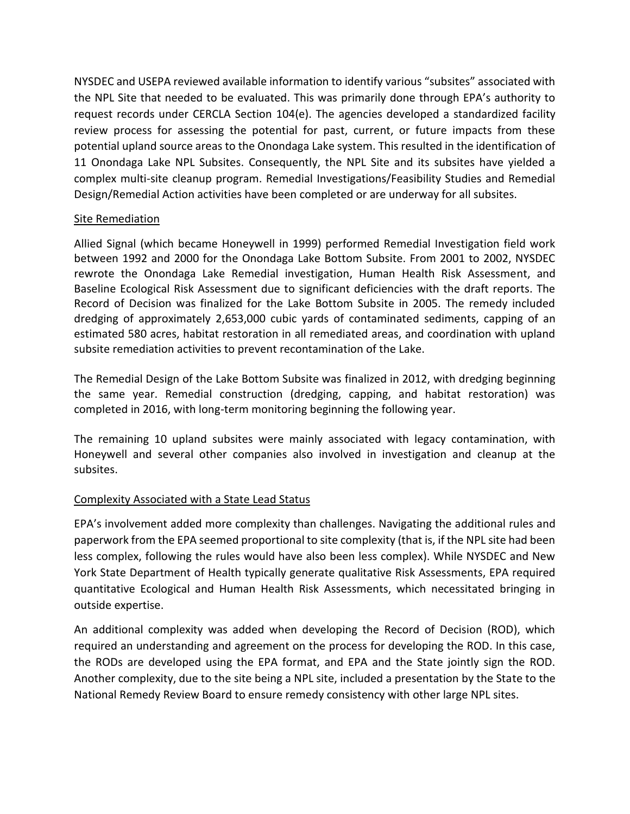NYSDEC and USEPA reviewed available information to identify various "subsites" associated with the NPL Site that needed to be evaluated. This was primarily done through EPA's authority to request records under CERCLA Section 104(e). The agencies developed a standardized facility review process for assessing the potential for past, current, or future impacts from these potential upland source areas to the Onondaga Lake system. This resulted in the identification of 11 Onondaga Lake NPL Subsites. Consequently, the NPL Site and its subsites have yielded a complex multi-site cleanup program. Remedial Investigations/Feasibility Studies and Remedial Design/Remedial Action activities have been completed or are underway for all subsites.

#### Site Remediation

Allied Signal (which became Honeywell in 1999) performed Remedial Investigation field work between 1992 and 2000 for the Onondaga Lake Bottom Subsite. From 2001 to 2002, NYSDEC rewrote the Onondaga Lake Remedial investigation, Human Health Risk Assessment, and Baseline Ecological Risk Assessment due to significant deficiencies with the draft reports. The Record of Decision was finalized for the Lake Bottom Subsite in 2005. The remedy included dredging of approximately 2,653,000 cubic yards of contaminated sediments, capping of an estimated 580 acres, habitat restoration in all remediated areas, and coordination with upland subsite remediation activities to prevent recontamination of the Lake.

The Remedial Design of the Lake Bottom Subsite was finalized in 2012, with dredging beginning the same year. Remedial construction (dredging, capping, and habitat restoration) was completed in 2016, with long-term monitoring beginning the following year.

The remaining 10 upland subsites were mainly associated with legacy contamination, with Honeywell and several other companies also involved in investigation and cleanup at the subsites.

#### Complexity Associated with a State Lead Status

EPA's involvement added more complexity than challenges. Navigating the additional rules and paperwork from the EPA seemed proportional to site complexity (that is, if the NPL site had been less complex, following the rules would have also been less complex). While NYSDEC and New York State Department of Health typically generate qualitative Risk Assessments, EPA required quantitative Ecological and Human Health Risk Assessments, which necessitated bringing in outside expertise.

An additional complexity was added when developing the Record of Decision (ROD), which required an understanding and agreement on the process for developing the ROD. In this case, the RODs are developed using the EPA format, and EPA and the State jointly sign the ROD. Another complexity, due to the site being a NPL site, included a presentation by the State to the National Remedy Review Board to ensure remedy consistency with other large NPL sites.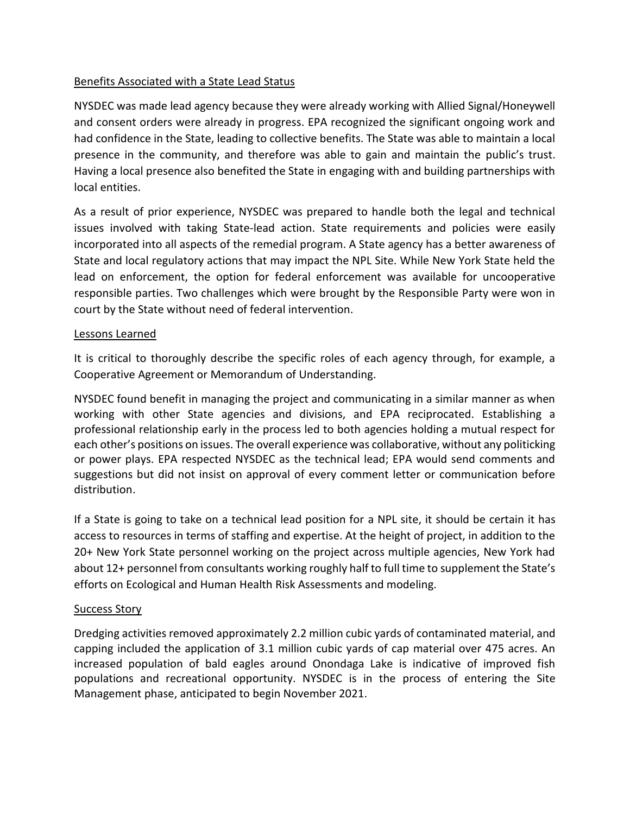#### Benefits Associated with a State Lead Status

NYSDEC was made lead agency because they were already working with Allied Signal/Honeywell and consent orders were already in progress. EPA recognized the significant ongoing work and had confidence in the State, leading to collective benefits. The State was able to maintain a local presence in the community, and therefore was able to gain and maintain the public's trust. Having a local presence also benefited the State in engaging with and building partnerships with local entities.

As a result of prior experience, NYSDEC was prepared to handle both the legal and technical issues involved with taking State-lead action. State requirements and policies were easily incorporated into all aspects of the remedial program. A State agency has a better awareness of State and local regulatory actions that may impact the NPL Site. While New York State held the lead on enforcement, the option for federal enforcement was available for uncooperative responsible parties. Two challenges which were brought by the Responsible Party were won in court by the State without need of federal intervention.

#### Lessons Learned

It is critical to thoroughly describe the specific roles of each agency through, for example, a Cooperative Agreement or Memorandum of Understanding.

NYSDEC found benefit in managing the project and communicating in a similar manner as when working with other State agencies and divisions, and EPA reciprocated. Establishing a professional relationship early in the process led to both agencies holding a mutual respect for each other's positions on issues. The overall experience was collaborative, without any politicking or power plays. EPA respected NYSDEC as the technical lead; EPA would send comments and suggestions but did not insist on approval of every comment letter or communication before distribution.

If a State is going to take on a technical lead position for a NPL site, it should be certain it has access to resources in terms of staffing and expertise. At the height of project, in addition to the 20+ New York State personnel working on the project across multiple agencies, New York had about 12+ personnel from consultants working roughly half to full time to supplement the State's efforts on Ecological and Human Health Risk Assessments and modeling.

#### Success Story

Dredging activities removed approximately 2.2 million cubic yards of contaminated material, and capping included the application of 3.1 million cubic yards of cap material over 475 acres. An increased population of bald eagles around Onondaga Lake is indicative of improved fish populations and recreational opportunity. NYSDEC is in the process of entering the Site Management phase, anticipated to begin November 2021.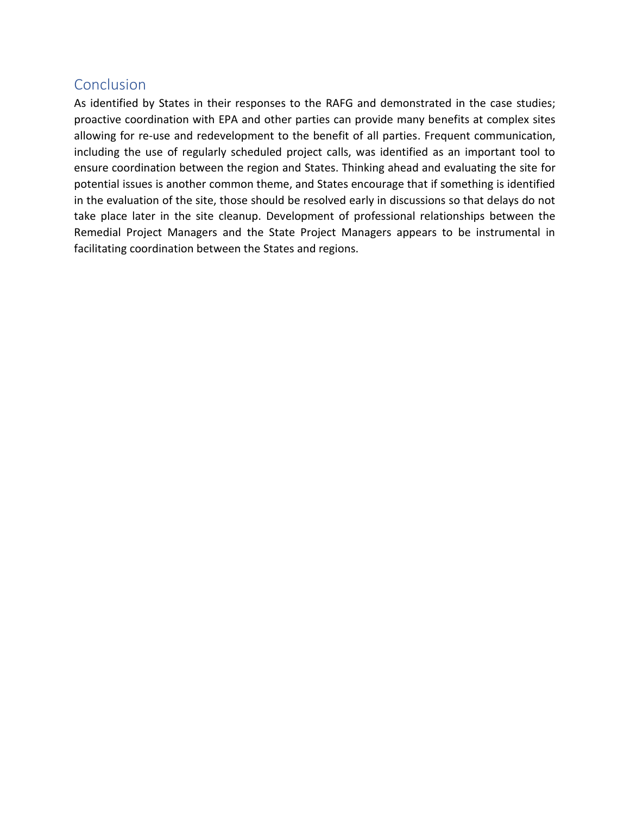# Conclusion

As identified by States in their responses to the RAFG and demonstrated in the case studies; proactive coordination with EPA and other parties can provide many benefits at complex sites allowing for re-use and redevelopment to the benefit of all parties. Frequent communication, including the use of regularly scheduled project calls, was identified as an important tool to ensure coordination between the region and States. Thinking ahead and evaluating the site for potential issues is another common theme, and States encourage that if something is identified in the evaluation of the site, those should be resolved early in discussions so that delays do not take place later in the site cleanup. Development of professional relationships between the Remedial Project Managers and the State Project Managers appears to be instrumental in facilitating coordination between the States and regions.